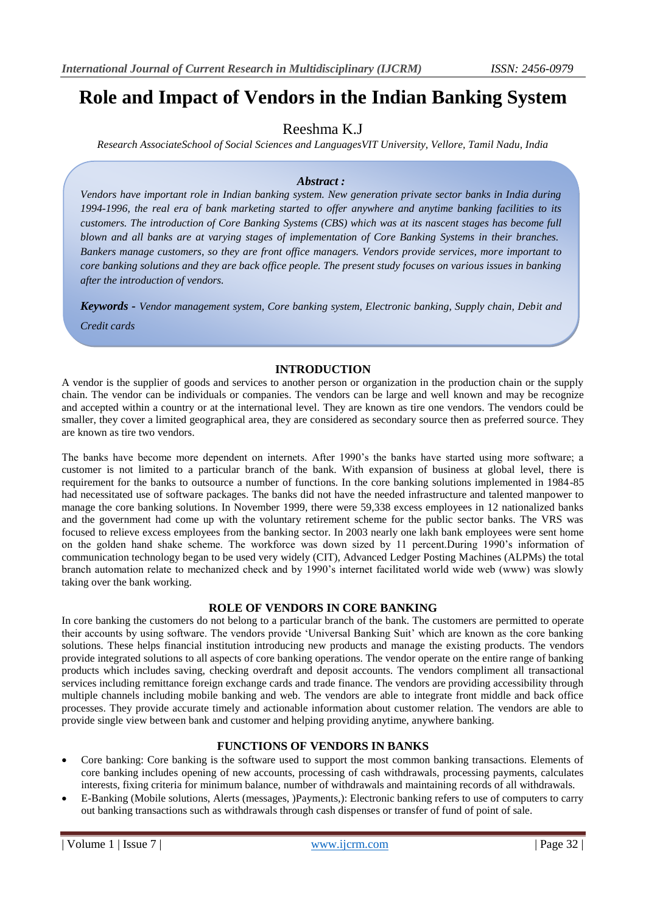# **Role and Impact of Vendors in the Indian Banking System**

## Reeshma K.J

*Research AssociateSchool of Social Sciences and LanguagesVIT University, Vellore, Tamil Nadu, India*

## *Abstract :*

*Vendors have important role in Indian banking system. New generation private sector banks in India during 1994-1996, the real era of bank marketing started to offer anywhere and anytime banking facilities to its customers. The introduction of Core Banking Systems (CBS) which was at its nascent stages has become full blown and all banks are at varying stages of implementation of Core Banking Systems in their branches. Bankers manage customers, so they are front office managers. Vendors provide services, more important to core banking solutions and they are back office people. The present study focuses on various issues in banking after the introduction of vendors.*

*Keywords - Vendor management system, Core banking system, Electronic banking, Supply chain, Debit and Credit cards*

## **INTRODUCTION**

A vendor is the supplier of goods and services to another person or organization in the production chain or the supply chain. The vendor can be individuals or companies. The vendors can be large and well known and may be recognize and accepted within a country or at the international level. They are known as tire one vendors. The vendors could be smaller, they cover a limited geographical area, they are considered as secondary source then as preferred source. They are known as tire two vendors.

The banks have become more dependent on internets. After 1990's the banks have started using more software; a customer is not limited to a particular branch of the bank. With expansion of business at global level, there is requirement for the banks to outsource a number of functions. In the core banking solutions implemented in 1984-85 had necessitated use of software packages. The banks did not have the needed infrastructure and talented manpower to manage the core banking solutions. In November 1999, there were 59,338 excess employees in 12 nationalized banks and the government had come up with the voluntary retirement scheme for the public sector banks. The VRS was focused to relieve excess employees from the banking sector. In 2003 nearly one lakh bank employees were sent home on the golden hand shake scheme. The workforce was down sized by 11 percent.During 1990's information of communication technology began to be used very widely (CIT), Advanced Ledger Posting Machines (ALPMs) the total branch automation relate to mechanized check and by 1990's internet facilitated world wide web (www) was slowly taking over the bank working.

## **ROLE OF VENDORS IN CORE BANKING**

In core banking the customers do not belong to a particular branch of the bank. The customers are permitted to operate their accounts by using software. The vendors provide 'Universal Banking Suit' which are known as the core banking solutions. These helps financial institution introducing new products and manage the existing products. The vendors provide integrated solutions to all aspects of core banking operations. The vendor operate on the entire range of banking products which includes saving, checking overdraft and deposit accounts. The vendors compliment all transactional services including remittance foreign exchange cards and trade finance. The vendors are providing accessibility through multiple channels including mobile banking and web. The vendors are able to integrate front middle and back office processes. They provide accurate timely and actionable information about customer relation. The vendors are able to provide single view between bank and customer and helping providing anytime, anywhere banking.

## **FUNCTIONS OF VENDORS IN BANKS**

- Core banking: Core banking is the software used to support the most common banking transactions. Elements of core banking includes opening of new accounts, processing of cash withdrawals, processing payments, calculates interests, fixing criteria for minimum balance, number of withdrawals and maintaining records of all withdrawals.
- E-Banking (Mobile solutions, Alerts (messages, )Payments,): Electronic banking refers to use of computers to carry out banking transactions such as withdrawals through cash dispenses or transfer of fund of point of sale.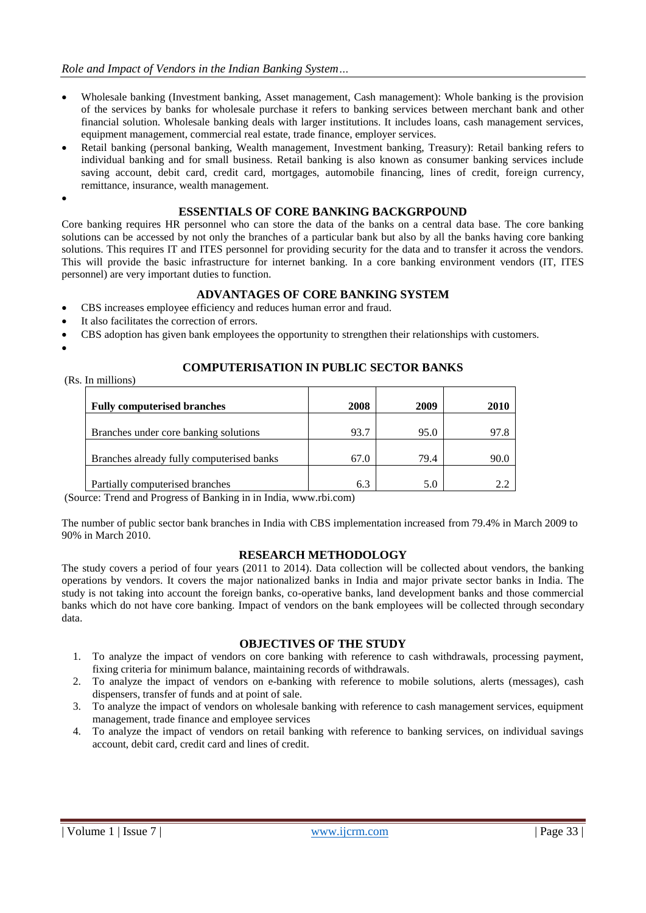- Wholesale banking (Investment banking, Asset management, Cash management): Whole banking is the provision of the services by banks for wholesale purchase it refers to banking services between merchant bank and other financial solution. Wholesale banking deals with larger institutions. It includes loans, cash management services, equipment management, commercial real estate, trade finance, employer services.
- Retail banking (personal banking, Wealth management, Investment banking, Treasury): Retail banking refers to individual banking and for small business. Retail banking is also known as consumer banking services include saving account, debit card, credit card, mortgages, automobile financing, lines of credit, foreign currency, remittance, insurance, wealth management.
- $\bullet$

## **ESSENTIALS OF CORE BANKING BACKGRPOUND**

Core banking requires HR personnel who can store the data of the banks on a central data base. The core banking solutions can be accessed by not only the branches of a particular bank but also by all the banks having core banking solutions. This requires IT and ITES personnel for providing security for the data and to transfer it across the vendors. This will provide the basic infrastructure for internet banking. In a core banking environment vendors (IT, ITES personnel) are very important duties to function.

## **ADVANTAGES OF CORE BANKING SYSTEM**

- CBS increases employee efficiency and reduces human error and fraud.
- It also facilitates the correction of errors.
- CBS adoption has given bank employees the opportunity to strengthen their relationships with customers.
- $\bullet$

## **COMPUTERISATION IN PUBLIC SECTOR BANKS**

(Rs. In millions)

| <b>Fully computerised branches</b>        | 2008 | 2009 | 2010 |
|-------------------------------------------|------|------|------|
|                                           |      |      |      |
| Branches under core banking solutions     | 93.7 | 95.0 | 97.8 |
|                                           |      |      |      |
| Branches already fully computerised banks | 67.0 | 79.4 | 90.C |
|                                           |      |      |      |
| Partially computerised branches           | 6.3  | 5.0  |      |
|                                           |      |      |      |

(Source: Trend and Progress of Banking in in India, www.rbi.com)

The number of public sector bank branches in India with CBS implementation increased from 79.4% in March 2009 to 90% in March 2010.

## **RESEARCH METHODOLOGY**

The study covers a period of four years (2011 to 2014). Data collection will be collected about vendors, the banking operations by vendors. It covers the major nationalized banks in India and major private sector banks in India. The study is not taking into account the foreign banks, co-operative banks, land development banks and those commercial banks which do not have core banking. Impact of vendors on the bank employees will be collected through secondary data.

## **OBJECTIVES OF THE STUDY**

- 1. To analyze the impact of vendors on core banking with reference to cash withdrawals, processing payment, fixing criteria for minimum balance, maintaining records of withdrawals.
- 2. To analyze the impact of vendors on e-banking with reference to mobile solutions, alerts (messages), cash dispensers, transfer of funds and at point of sale.
- 3. To analyze the impact of vendors on wholesale banking with reference to cash management services, equipment management, trade finance and employee services
- 4. To analyze the impact of vendors on retail banking with reference to banking services, on individual savings account, debit card, credit card and lines of credit.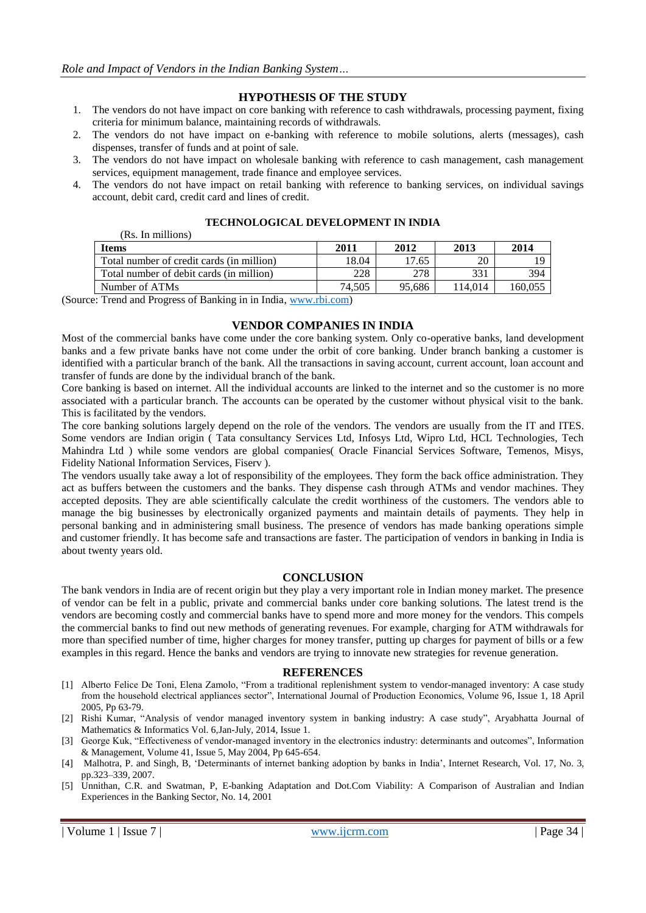## **HYPOTHESIS OF THE STUDY**

- 1. The vendors do not have impact on core banking with reference to cash withdrawals, processing payment, fixing criteria for minimum balance, maintaining records of withdrawals.
- 2. The vendors do not have impact on e-banking with reference to mobile solutions, alerts (messages), cash dispenses, transfer of funds and at point of sale.
- 3. The vendors do not have impact on wholesale banking with reference to cash management, cash management services, equipment management, trade finance and employee services.
- 4. The vendors do not have impact on retail banking with reference to banking services, on individual savings account, debit card, credit card and lines of credit.

#### **TECHNOLOGICAL DEVELOPMENT IN INDIA**

| улуз. 111 инцијану 1                      |        |        |         |         |
|-------------------------------------------|--------|--------|---------|---------|
| <b>Items</b>                              | 2011   | 2012   | 2013    | 2014    |
| Total number of credit cards (in million) | 18.04  | 17.65  | 20      | ، G     |
| Total number of debit cards (in million)  | 228    | 278    | 331     | 394     |
| Number of ATMs                            | 74.505 | 95.686 | 114.014 | 160.055 |
| $ -$<br>.<br>$-$                          |        |        |         |         |

(Source: Trend and Progress of Banking in in India, [www.rbi.com\)](http://www.rbi.com/)

 $(D<sub>e</sub>$ . In millions)

#### **VENDOR COMPANIES IN INDIA**

Most of the commercial banks have come under the core banking system. Only co-operative banks, land development banks and a few private banks have not come under the orbit of core banking. Under branch banking a customer is identified with a particular branch of the bank. All the transactions in saving account, current account, loan account and transfer of funds are done by the individual branch of the bank.

Core banking is based on internet. All the individual accounts are linked to the internet and so the customer is no more associated with a particular branch. The accounts can be operated by the customer without physical visit to the bank. This is facilitated by the vendors.

The core banking solutions largely depend on the role of the vendors. The vendors are usually from the IT and ITES. Some vendors are Indian origin ( Tata consultancy Services Ltd, Infosys Ltd, Wipro Ltd, HCL Technologies, Tech Mahindra Ltd ) while some vendors are global companies( Oracle Financial Services Software, Temenos, Misys, Fidelity National Information Services, Fiserv ).

The vendors usually take away a lot of responsibility of the employees. They form the back office administration. They act as buffers between the customers and the banks. They dispense cash through ATMs and vendor machines. They accepted deposits. They are able scientifically calculate the credit worthiness of the customers. The vendors able to manage the big businesses by electronically organized payments and maintain details of payments. They help in personal banking and in administering small business. The presence of vendors has made banking operations simple and customer friendly. It has become safe and transactions are faster. The participation of vendors in banking in India is about twenty years old.

## **CONCLUSION**

The bank vendors in India are of recent origin but they play a very important role in Indian money market. The presence of vendor can be felt in a public, private and commercial banks under core banking solutions. The latest trend is the vendors are becoming costly and commercial banks have to spend more and more money for the vendors. This compels the commercial banks to find out new methods of generating revenues. For example, charging for ATM withdrawals for more than specified number of time, higher charges for money transfer, putting up charges for payment of bills or a few examples in this regard. Hence the banks and vendors are trying to innovate new strategies for revenue generation.

#### **REFERENCES**

- [1] Alberto Felice De Toni, Elena Zamolo, "From a traditional replenishment system to vendor-managed inventory: A case study from the household electrical appliances sector", International Journal of Production Economics, Volume 96, Issue 1, 18 April 2005, Pp 63-79.
- [2] Rishi Kumar, "Analysis of vendor managed inventory system in banking industry: A case study", Aryabhatta Journal of Mathematics & Informatics Vol. 6,Jan-July, 2014, Issue 1.
- [3] George Kuk, "Effectiveness of vendor-managed inventory in the electronics industry: determinants and outcomes", Information & Management, Volume 41, Issue 5, May 2004, Pp 645-654.
- [4] Malhotra, P. and Singh, B, 'Determinants of internet banking adoption by banks in India', Internet Research, Vol. 17, No. 3, pp.323–339, 2007.
- [5] Unnithan, C.R. and Swatman, P, E-banking Adaptation and Dot.Com Viability: A Comparison of Australian and Indian Experiences in the Banking Sector, No. 14, 2001